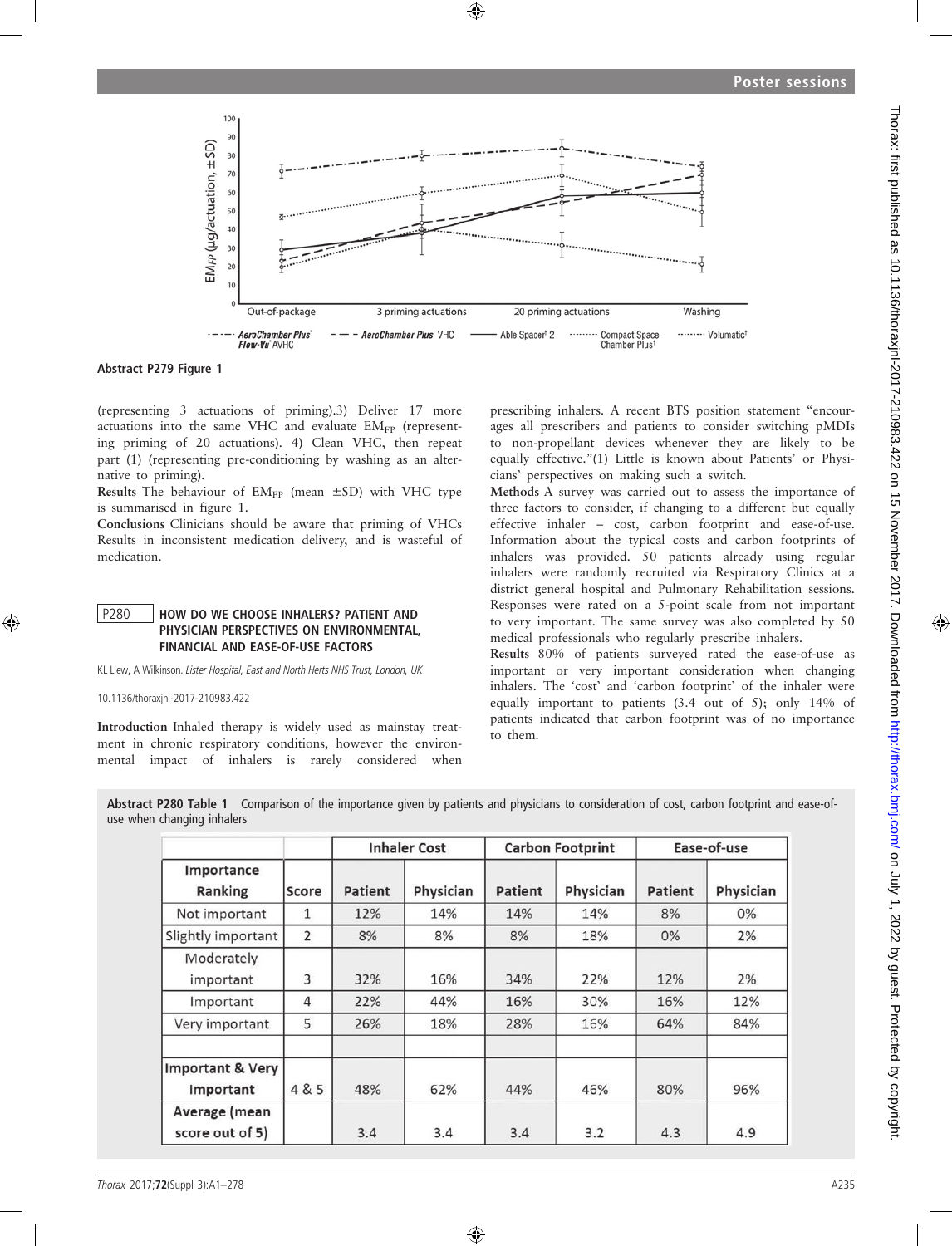

Abstract P279 Figure 1

(representing 3 actuations of priming).3) Deliver 17 more actuations into the same VHC and evaluate  $EM_{FP}$  (representing priming of 20 actuations). 4) Clean VHC, then repeat part (1) (representing pre-conditioning by washing as an alternative to priming).

Results The behaviour of  $EM_{FP}$  (mean  $\pm SD$ ) with VHC type is summarised in figure 1.

Conclusions Clinicians should be aware that priming of VHCs Results in inconsistent medication delivery, and is wasteful of medication.

#### P280 HOW DO WE CHOOSE INHALERS? PATIENT AND PHYSICIAN PERSPECTIVES ON ENVIRONMENTAL, FINANCIAL AND EASE-OF-USE FACTORS

KL Liew, A Wilkinson. Lister Hospital, East and North Herts NHS Trust, London, UK

10.1136/thoraxjnl-2017-210983.422

Introduction Inhaled therapy is widely used as mainstay treatment in chronic respiratory conditions, however the environmental impact of inhalers is rarely considered when

prescribing inhalers. A recent BTS position statement "encourages all prescribers and patients to consider switching pMDIs to non-propellant devices whenever they are likely to be equally effective."(1) Little is known about Patients' or Physicians' perspectives on making such a switch.

Methods A survey was carried out to assess the importance of three factors to consider, if changing to a different but equally effective inhaler – cost, carbon footprint and ease-of-use. Information about the typical costs and carbon footprints of inhalers was provided. 50 patients already using regular inhalers were randomly recruited via Respiratory Clinics at a district general hospital and Pulmonary Rehabilitation sessions. Responses were rated on a 5-point scale from not important to very important. The same survey was also completed by 50 medical professionals who regularly prescribe inhalers.

Results 80% of patients surveyed rated the ease-of-use as important or very important consideration when changing inhalers. The 'cost' and 'carbon footprint' of the inhaler were equally important to patients (3.4 out of 5); only 14% of patients indicated that carbon footprint was of no importance to them.

|                            | Abstract P280 Table 1 Comparison of the importance given by patients and physicians to consideration of cost, carbon footprint and ease-of- |
|----------------------------|---------------------------------------------------------------------------------------------------------------------------------------------|
| use when changing inhalers |                                                                                                                                             |

| Importance<br>Ranking                    | Score          | <b>Inhaler Cost</b> |           | <b>Carbon Footprint</b> |           | Ease-of-use |           |
|------------------------------------------|----------------|---------------------|-----------|-------------------------|-----------|-------------|-----------|
|                                          |                | Patient             | Physician | Patient                 | Physician | Patient     | Physician |
| Not important                            | $\mathbf{1}$   | 12%                 | 14%       | 14%                     | 14%       | 8%          | $0\%$     |
| Slightly important                       | $\overline{2}$ | 8%                  | 8%        | 8%                      | 18%       | 0%          | 2%        |
| Moderately<br>important                  | 3              | 32%                 | 16%       | 34%                     | 22%       | 12%         | 2%        |
| Important                                | 4              | 22%                 | 44%       | 16%                     | 30%       | 16%         | 12%       |
| Very important                           | 5              | 26%                 | 18%       | 28%                     | 16%       | 64%         | 84%       |
| <b>Important &amp; Very</b><br>Important | 4 & 5          | 48%                 | 62%       | 44%                     | 46%       | 80%         | 96%       |
| Average (mean<br>score out of 5)         |                | 3.4                 | 3.4       | 3.4                     | 3.2       | 4.3         | 4.9       |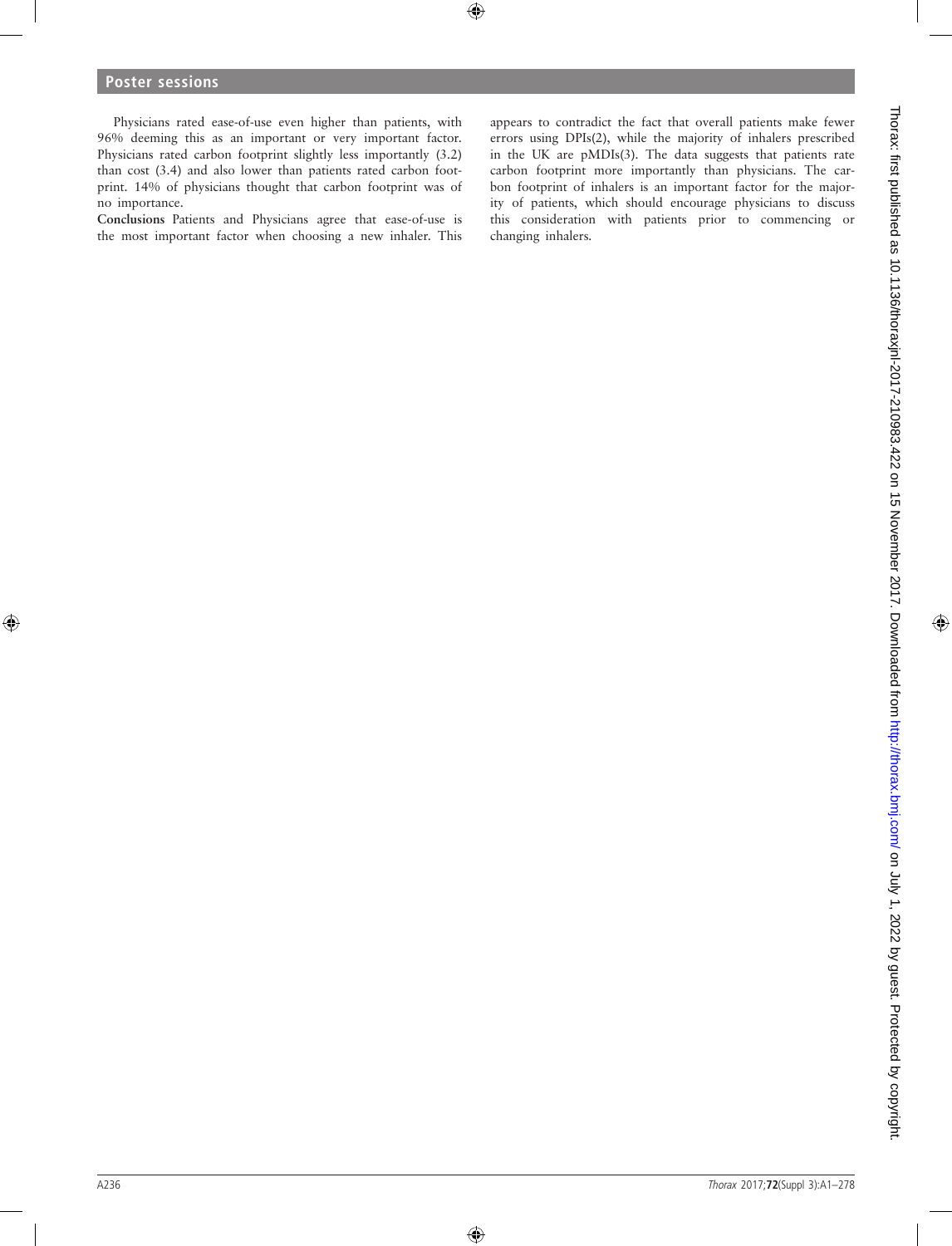Physicians rated ease-of-use even higher than patients, with 96% deeming this as an important or very important factor. Physicians rated carbon footprint slightly less importantly (3.2) than cost (3.4) and also lower than patients rated carbon footprint. 14% of physicians thought that carbon footprint was of no importance.

Conclusions Patients and Physicians agree that ease-of-use is the most important factor when choosing a new inhaler. This appears to contradict the fact that overall patients make fewer errors using DPIs(2), while the majority of inhalers prescribed in the UK are pMDIs(3). The data suggests that patients rate carbon footprint more importantly than physicians. The carbon footprint of inhalers is an important factor for the majority of patients, which should encourage physicians to discuss this consideration with patients prior to commencing or changing inhalers.